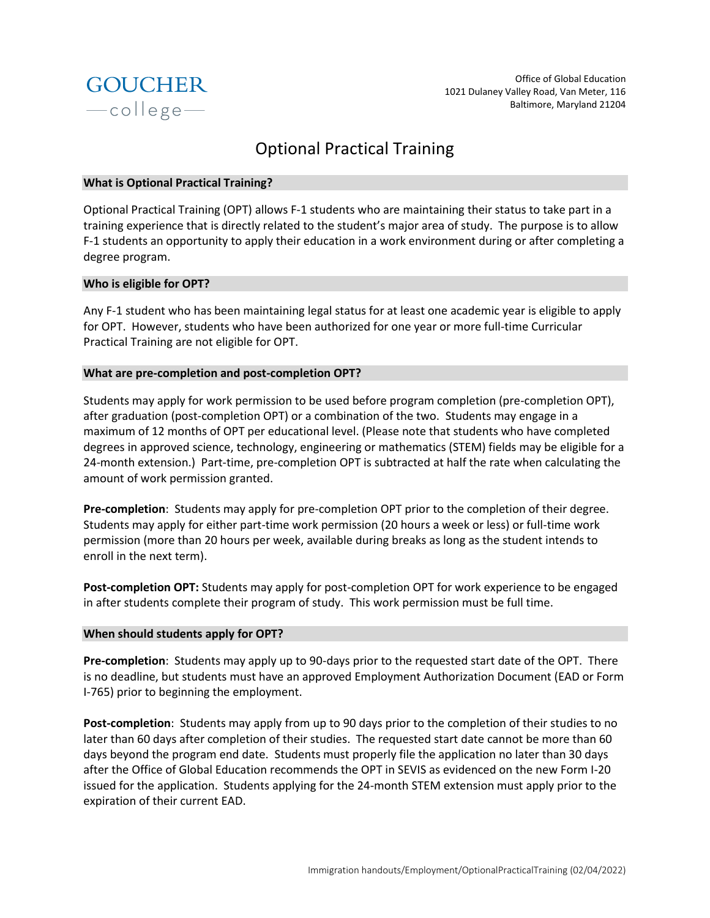

# Optional Practical Training

## **What is Optional Practical Training?**

Optional Practical Training (OPT) allows F-1 students who are maintaining their status to take part in a training experience that is directly related to the student's major area of study. The purpose is to allow F-1 students an opportunity to apply their education in a work environment during or after completing a degree program.

# **Who is eligible for OPT?**

Any F-1 student who has been maintaining legal status for at least one academic year is eligible to apply for OPT. However, students who have been authorized for one year or more full-time Curricular Practical Training are not eligible for OPT.

# **What are pre-completion and post-completion OPT?**

Students may apply for work permission to be used before program completion (pre-completion OPT), after graduation (post-completion OPT) or a combination of the two. Students may engage in a maximum of 12 months of OPT per educational level. (Please note that students who have completed degrees in approved science, technology, engineering or mathematics (STEM) fields may be eligible for a 24-month extension.) Part-time, pre-completion OPT is subtracted at half the rate when calculating the amount of work permission granted.

**Pre-completion**: Students may apply for pre-completion OPT prior to the completion of their degree. Students may apply for either part-time work permission (20 hours a week or less) or full-time work permission (more than 20 hours per week, available during breaks as long as the student intends to enroll in the next term).

**Post-completion OPT:** Students may apply for post-completion OPT for work experience to be engaged in after students complete their program of study. This work permission must be full time.

## **When should students apply for OPT?**

**Pre-completion**: Students may apply up to 90-days prior to the requested start date of the OPT. There is no deadline, but students must have an approved Employment Authorization Document (EAD or Form I-765) prior to beginning the employment.

**Post-completion**: Students may apply from up to 90 days prior to the completion of their studies to no later than 60 days after completion of their studies. The requested start date cannot be more than 60 days beyond the program end date. Students must properly file the application no later than 30 days after the Office of Global Education recommends the OPT in SEVIS as evidenced on the new Form I-20 issued for the application. Students applying for the 24-month STEM extension must apply prior to the expiration of their current EAD.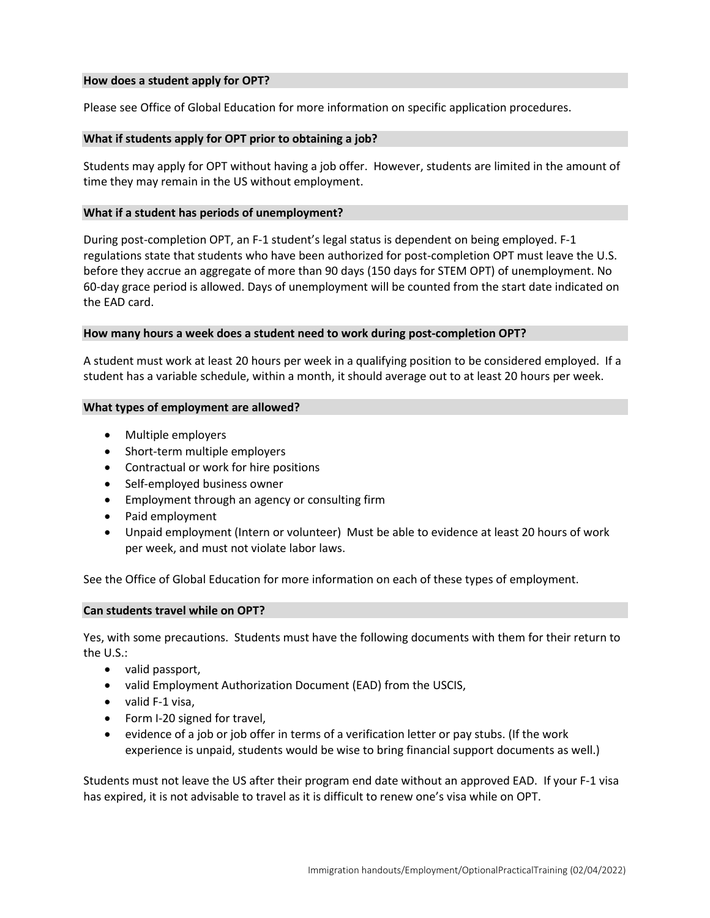## **How does a student apply for OPT?**

Please see Office of Global Education for more information on specific application procedures.

### **What if students apply for OPT prior to obtaining a job?**

Students may apply for OPT without having a job offer. However, students are limited in the amount of time they may remain in the US without employment.

### **What if a student has periods of unemployment?**

During post-completion OPT, an F-1 student's legal status is dependent on being employed. F-1 regulations state that students who have been authorized for post-completion OPT must leave the U.S. before they accrue an aggregate of more than 90 days (150 days for STEM OPT) of unemployment. No 60-day grace period is allowed. Days of unemployment will be counted from the start date indicated on the EAD card.

#### **How many hours a week does a student need to work during post-completion OPT?**

A student must work at least 20 hours per week in a qualifying position to be considered employed. If a student has a variable schedule, within a month, it should average out to at least 20 hours per week.

#### **What types of employment are allowed?**

- Multiple employers
- Short-term multiple employers
- Contractual or work for hire positions
- Self-employed business owner
- Employment through an agency or consulting firm
- Paid employment
- Unpaid employment (Intern or volunteer) Must be able to evidence at least 20 hours of work per week, and must not violate labor laws.

See the Office of Global Education for more information on each of these types of employment.

## **Can students travel while on OPT?**

Yes, with some precautions. Students must have the following documents with them for their return to the U.S.:

- valid passport,
- valid Employment Authorization Document (EAD) from the USCIS,
- valid F-1 visa,
- Form I-20 signed for travel,
- evidence of a job or job offer in terms of a verification letter or pay stubs. (If the work experience is unpaid, students would be wise to bring financial support documents as well.)

Students must not leave the US after their program end date without an approved EAD. If your F-1 visa has expired, it is not advisable to travel as it is difficult to renew one's visa while on OPT.